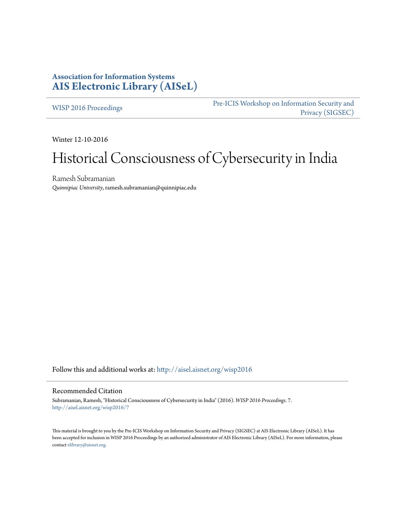# **Association for Information Systems [AIS Electronic Library \(AISeL\)](http://aisel.aisnet.org?utm_source=aisel.aisnet.org%2Fwisp2016%2F7&utm_medium=PDF&utm_campaign=PDFCoverPages)**

[WISP 2016 Proceedings](http://aisel.aisnet.org/wisp2016?utm_source=aisel.aisnet.org%2Fwisp2016%2F7&utm_medium=PDF&utm_campaign=PDFCoverPages)

[Pre-ICIS Workshop on Information Security and](http://aisel.aisnet.org/sigsec?utm_source=aisel.aisnet.org%2Fwisp2016%2F7&utm_medium=PDF&utm_campaign=PDFCoverPages) [Privacy \(SIGSEC\)](http://aisel.aisnet.org/sigsec?utm_source=aisel.aisnet.org%2Fwisp2016%2F7&utm_medium=PDF&utm_campaign=PDFCoverPages)

Winter 12-10-2016

# Historical Consciousness of Cybersecurity in India

Ramesh Subramanian *Quinnipiac University*, ramesh.subramanian@quinnipiac.edu

Follow this and additional works at: [http://aisel.aisnet.org/wisp2016](http://aisel.aisnet.org/wisp2016?utm_source=aisel.aisnet.org%2Fwisp2016%2F7&utm_medium=PDF&utm_campaign=PDFCoverPages)

#### Recommended Citation

Subramanian, Ramesh, "Historical Consciousness of Cybersecurity in India" (2016). *WISP 2016 Proceedings*. 7. [http://aisel.aisnet.org/wisp2016/7](http://aisel.aisnet.org/wisp2016/7?utm_source=aisel.aisnet.org%2Fwisp2016%2F7&utm_medium=PDF&utm_campaign=PDFCoverPages)

This material is brought to you by the Pre-ICIS Workshop on Information Security and Privacy (SIGSEC) at AIS Electronic Library (AISeL). It has been accepted for inclusion in WISP 2016 Proceedings by an authorized administrator of AIS Electronic Library (AISeL). For more information, please contact [elibrary@aisnet.org.](mailto:elibrary@aisnet.org%3E)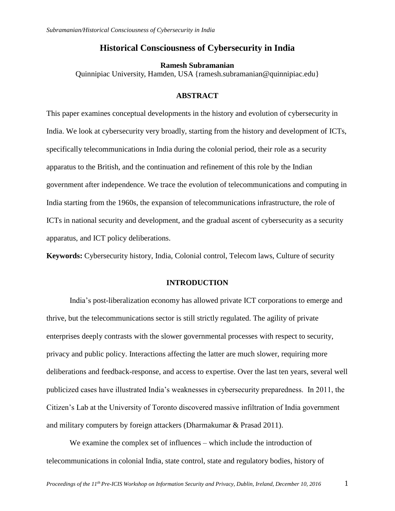## **Historical Consciousness of Cybersecurity in India**

#### **Ramesh Subramanian**

Quinnipiac University, Hamden, USA {ramesh.subramanian@quinnipiac.edu}

## **ABSTRACT**

This paper examines conceptual developments in the history and evolution of cybersecurity in India. We look at cybersecurity very broadly, starting from the history and development of ICTs, specifically telecommunications in India during the colonial period, their role as a security apparatus to the British, and the continuation and refinement of this role by the Indian government after independence. We trace the evolution of telecommunications and computing in India starting from the 1960s, the expansion of telecommunications infrastructure, the role of ICTs in national security and development, and the gradual ascent of cybersecurity as a security apparatus, and ICT policy deliberations.

**Keywords:** Cybersecurity history, India, Colonial control, Telecom laws, Culture of security

#### **INTRODUCTION**

India's post-liberalization economy has allowed private ICT corporations to emerge and thrive, but the telecommunications sector is still strictly regulated. The agility of private enterprises deeply contrasts with the slower governmental processes with respect to security, privacy and public policy. Interactions affecting the latter are much slower, requiring more deliberations and feedback-response, and access to expertise. Over the last ten years, several well publicized cases have illustrated India's weaknesses in cybersecurity preparedness. In 2011, the Citizen's Lab at the University of Toronto discovered massive infiltration of India government and military computers by foreign attackers (Dharmakumar & Prasad 2011).

We examine the complex set of influences – which include the introduction of telecommunications in colonial India, state control, state and regulatory bodies, history of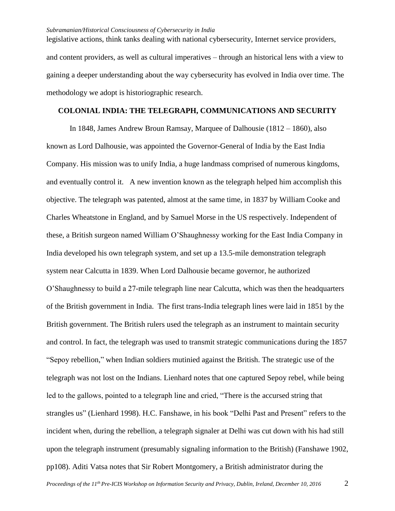legislative actions, think tanks dealing with national cybersecurity, Internet service providers, and content providers, as well as cultural imperatives – through an historical lens with a view to gaining a deeper understanding about the way cybersecurity has evolved in India over time. The methodology we adopt is historiographic research.

## **COLONIAL INDIA: THE TELEGRAPH, COMMUNICATIONS AND SECURITY**

In 1848, James Andrew Broun Ramsay, Marquee of Dalhousie (1812 – 1860), also known as Lord Dalhousie, was appointed the Governor-General of India by the East India Company. His mission was to unify India, a huge landmass comprised of numerous kingdoms, and eventually control it. A new invention known as the telegraph helped him accomplish this objective. The telegraph was patented, almost at the same time, in 1837 by William Cooke and Charles Wheatstone in England, and by Samuel Morse in the US respectively. Independent of these, a British surgeon named William O'Shaughnessy working for the East India Company in India developed his own telegraph system, and set up a 13.5-mile demonstration telegraph system near Calcutta in 1839. When Lord Dalhousie became governor, he authorized O'Shaughnessy to build a 27-mile telegraph line near Calcutta, which was then the headquarters of the British government in India. The first trans-India telegraph lines were laid in 1851 by the British government. The British rulers used the telegraph as an instrument to maintain security and control. In fact, the telegraph was used to transmit strategic communications during the 1857 "Sepoy rebellion," when Indian soldiers mutinied against the British. The strategic use of the telegraph was not lost on the Indians. Lienhard notes that one captured Sepoy rebel, while being led to the gallows, pointed to a telegraph line and cried, "There is the accursed string that strangles us" (Lienhard 1998). H.C. Fanshawe, in his book "Delhi Past and Present" refers to the incident when, during the rebellion, a telegraph signaler at Delhi was cut down with his had still upon the telegraph instrument (presumably signaling information to the British) (Fanshawe 1902, pp108). Aditi Vatsa notes that Sir Robert Montgomery, a British administrator during the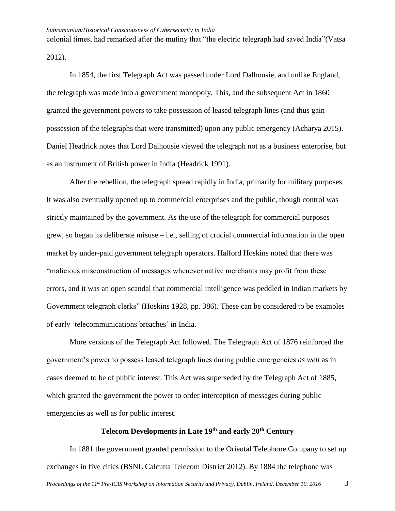colonial times, had remarked after the mutiny that "the electric telegraph had saved India"(Vatsa 2012).

In 1854, the first Telegraph Act was passed under Lord Dalhousie, and unlike England, the telegraph was made into a government monopoly. This, and the subsequent Act in 1860 granted the government powers to take possession of leased telegraph lines (and thus gain possession of the telegraphs that were transmitted) upon any public emergency (Acharya 2015). Daniel Headrick notes that Lord Dalhousie viewed the telegraph not as a business enterprise, but as an instrument of British power in India (Headrick 1991).

After the rebellion, the telegraph spread rapidly in India, primarily for military purposes. It was also eventually opened up to commercial enterprises and the public, though control was strictly maintained by the government. As the use of the telegraph for commercial purposes grew, so began its deliberate misuse  $-$  i.e., selling of crucial commercial information in the open market by under-paid government telegraph operators. Halford Hoskins noted that there was "malicious misconstruction of messages whenever native merchants may profit from these errors, and it was an open scandal that commercial intelligence was peddled in Indian markets by Government telegraph clerks" (Hoskins 1928, pp. 386). These can be considered to be examples of early 'telecommunications breaches' in India.

More versions of the Telegraph Act followed. The Telegraph Act of 1876 reinforced the government's power to possess leased telegraph lines during public emergencies *as well* as in cases deemed to be of public interest. This Act was superseded by the Telegraph Act of 1885, which granted the government the power to order interception of messages during public emergencies as well as for public interest.

# **Telecom Developments in Late 19th and early 20th Century**

In 1881 the government granted permission to the Oriental Telephone Company to set up exchanges in five cities (BSNL Calcutta Telecom District 2012). By 1884 the telephone was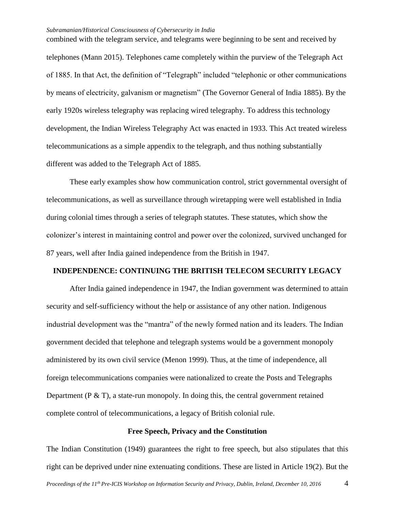combined with the telegram service, and telegrams were beginning to be sent and received by telephones (Mann 2015). Telephones came completely within the purview of the Telegraph Act of 1885. In that Act, the definition of "Telegraph" included "telephonic or other communications by means of electricity, galvanism or magnetism" (The Governor General of India 1885). By the early 1920s wireless telegraphy was replacing wired telegraphy. To address this technology development, the Indian Wireless Telegraphy Act was enacted in 1933. This Act treated wireless telecommunications as a simple appendix to the telegraph, and thus nothing substantially different was added to the Telegraph Act of 1885.

These early examples show how communication control, strict governmental oversight of telecommunications, as well as surveillance through wiretapping were well established in India during colonial times through a series of telegraph statutes. These statutes, which show the colonizer's interest in maintaining control and power over the colonized, survived unchanged for 87 years, well after India gained independence from the British in 1947.

## **INDEPENDENCE: CONTINUING THE BRITISH TELECOM SECURITY LEGACY**

After India gained independence in 1947, the Indian government was determined to attain security and self-sufficiency without the help or assistance of any other nation. Indigenous industrial development was the "mantra" of the newly formed nation and its leaders. The Indian government decided that telephone and telegraph systems would be a government monopoly administered by its own civil service (Menon 1999). Thus, at the time of independence, all foreign telecommunications companies were nationalized to create the Posts and Telegraphs Department ( $P & T$ ), a state-run monopoly. In doing this, the central government retained complete control of telecommunications, a legacy of British colonial rule.

## **Free Speech, Privacy and the Constitution**

The Indian Constitution (1949) guarantees the right to free speech, but also stipulates that this right can be deprived under nine extenuating conditions. These are listed in Article 19(2). But the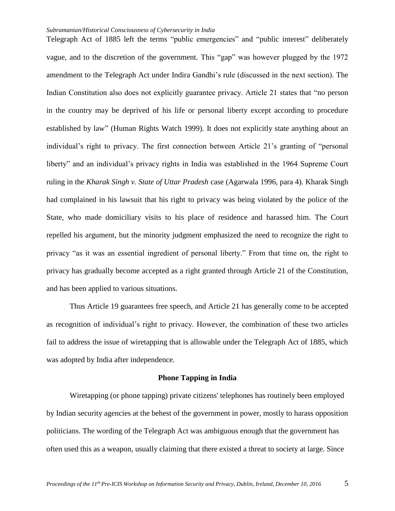Telegraph Act of 1885 left the terms "public emergencies" and "public interest" deliberately vague, and to the discretion of the government. This "gap" was however plugged by the 1972 amendment to the Telegraph Act under Indira Gandhi's rule (discussed in the next section). The Indian Constitution also does not explicitly guarantee privacy. Article 21 states that "no person in the country may be deprived of his life or personal liberty except according to procedure established by law" (Human Rights Watch 1999). It does not explicitly state anything about an individual's right to privacy. The first connection between Article 21's granting of "personal liberty" and an individual's privacy rights in India was established in the 1964 Supreme Court ruling in the *Kharak Singh v. State of Uttar Pradesh* case (Agarwala 1996, para 4). Kharak Singh had complained in his lawsuit that his right to privacy was being violated by the police of the State, who made domiciliary visits to his place of residence and harassed him. The Court repelled his argument, but the minority judgment emphasized the need to recognize the right to privacy "as it was an essential ingredient of personal liberty." From that time on, the right to privacy has gradually become accepted as a right granted through Article 21 of the Constitution, and has been applied to various situations.

Thus Article 19 guarantees free speech, and Article 21 has generally come to be accepted as recognition of individual's right to privacy. However, the combination of these two articles fail to address the issue of wiretapping that is allowable under the Telegraph Act of 1885, which was adopted by India after independence.

### **Phone Tapping in India**

Wiretapping (or phone tapping) private citizens' telephones has routinely been employed by Indian security agencies at the behest of the government in power, mostly to harass opposition politicians. The wording of the Telegraph Act was ambiguous enough that the government has often used this as a weapon, usually claiming that there existed a threat to society at large. Since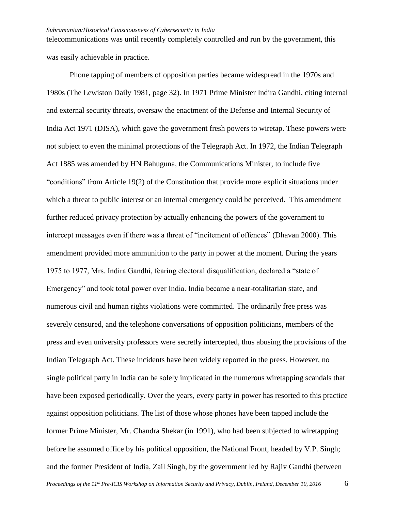telecommunications was until recently completely controlled and run by the government, this was easily achievable in practice.

Phone tapping of members of opposition parties became widespread in the 1970s and 1980s (The Lewiston Daily 1981, page 32). In 1971 Prime Minister Indira Gandhi, citing internal and external security threats, oversaw the enactment of the Defense and Internal Security of India Act 1971 (DISA), which gave the government fresh powers to wiretap. These powers were not subject to even the minimal protections of the Telegraph Act. In 1972, the Indian Telegraph Act 1885 was amended by HN Bahuguna, the Communications Minister, to include five "conditions" from Article 19(2) of the Constitution that provide more explicit situations under which a threat to public interest or an internal emergency could be perceived. This amendment further reduced privacy protection by actually enhancing the powers of the government to intercept messages even if there was a threat of "incitement of offences" (Dhavan 2000). This amendment provided more ammunition to the party in power at the moment. During the years 1975 to 1977, Mrs. Indira Gandhi, fearing electoral disqualification, declared a "state of Emergency" and took total power over India. India became a near-totalitarian state, and numerous civil and human rights violations were committed. The ordinarily free press was severely censured, and the telephone conversations of opposition politicians, members of the press and even university professors were secretly intercepted, thus abusing the provisions of the Indian Telegraph Act. These incidents have been widely reported in the press. However, no single political party in India can be solely implicated in the numerous wiretapping scandals that have been exposed periodically. Over the years, every party in power has resorted to this practice against opposition politicians. The list of those whose phones have been tapped include the former Prime Minister, Mr. Chandra Shekar (in 1991), who had been subjected to wiretapping before he assumed office by his political opposition, the National Front, headed by V.P. Singh; and the former President of India, Zail Singh, by the government led by Rajiv Gandhi (between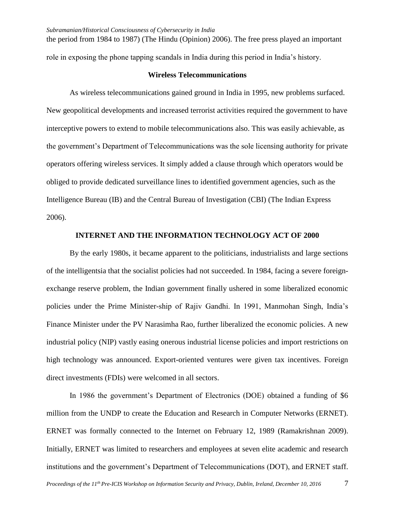the period from 1984 to 1987) (The Hindu (Opinion) 2006). The free press played an important role in exposing the phone tapping scandals in India during this period in India's history.

## **Wireless Telecommunications**

As wireless telecommunications gained ground in India in 1995, new problems surfaced. New geopolitical developments and increased terrorist activities required the government to have interceptive powers to extend to mobile telecommunications also. This was easily achievable, as the government's Department of Telecommunications was the sole licensing authority for private operators offering wireless services. It simply added a clause through which operators would be obliged to provide dedicated surveillance lines to identified government agencies, such as the Intelligence Bureau (IB) and the Central Bureau of Investigation (CBI) (The Indian Express 2006).

## **INTERNET AND THE INFORMATION TECHNOLOGY ACT OF 2000**

By the early 1980s, it became apparent to the politicians, industrialists and large sections of the intelligentsia that the socialist policies had not succeeded. In 1984, facing a severe foreignexchange reserve problem, the Indian government finally ushered in some liberalized economic policies under the Prime Minister-ship of Rajiv Gandhi. In 1991, Manmohan Singh, India's Finance Minister under the PV Narasimha Rao, further liberalized the economic policies. A new industrial policy (NIP) vastly easing onerous industrial license policies and import restrictions on high technology was announced. Export-oriented ventures were given tax incentives. Foreign direct investments (FDIs) were welcomed in all sectors.

In 1986 the government's Department of Electronics (DOE) obtained a funding of \$6 million from the UNDP to create the Education and Research in Computer Networks (ERNET). ERNET was formally connected to the Internet on February 12, 1989 (Ramakrishnan 2009). Initially, ERNET was limited to researchers and employees at seven elite academic and research institutions and the government's Department of Telecommunications (DOT), and ERNET staff.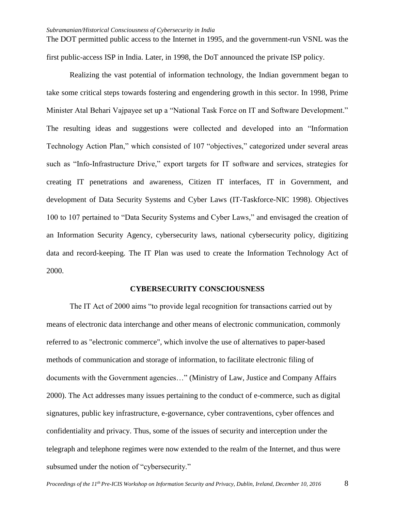The DOT permitted public access to the Internet in 1995, and the government-run VSNL was the first public-access ISP in India. Later, in 1998, the DoT announced the private ISP policy.

Realizing the vast potential of information technology, the Indian government began to take some critical steps towards fostering and engendering growth in this sector. In 1998, Prime Minister Atal Behari Vajpayee set up a "National Task Force on IT and Software Development." The resulting ideas and suggestions were collected and developed into an "Information Technology Action Plan," which consisted of 107 "objectives," categorized under several areas such as "Info-Infrastructure Drive," export targets for IT software and services, strategies for creating IT penetrations and awareness, Citizen IT interfaces, IT in Government, and development of Data Security Systems and Cyber Laws (IT-Taskforce-NIC 1998). Objectives 100 to 107 pertained to "Data Security Systems and Cyber Laws," and envisaged the creation of an Information Security Agency, cybersecurity laws, national cybersecurity policy, digitizing data and record-keeping. The IT Plan was used to create the Information Technology Act of 2000.

## **CYBERSECURITY CONSCIOUSNESS**

The IT Act of 2000 aims "to provide legal recognition for transactions carried out by means of electronic data interchange and other means of electronic communication, commonly referred to as "electronic commerce", which involve the use of alternatives to paper-based methods of communication and storage of information, to facilitate electronic filing of documents with the Government agencies…" (Ministry of Law, Justice and Company Affairs 2000). The Act addresses many issues pertaining to the conduct of e-commerce, such as digital signatures, public key infrastructure, e-governance, cyber contraventions, cyber offences and confidentiality and privacy. Thus, some of the issues of security and interception under the telegraph and telephone regimes were now extended to the realm of the Internet, and thus were subsumed under the notion of "cybersecurity."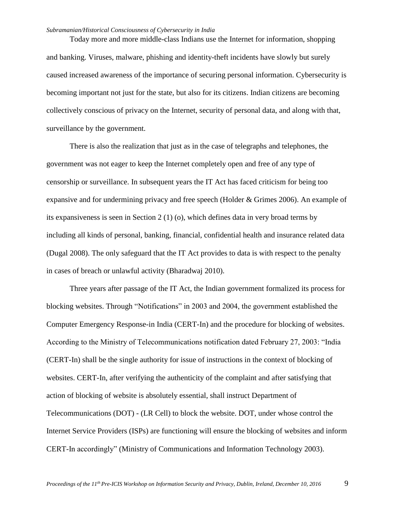Today more and more middle-class Indians use the Internet for information, shopping and banking. Viruses, malware, phishing and identity-theft incidents have slowly but surely caused increased awareness of the importance of securing personal information. Cybersecurity is becoming important not just for the state, but also for its citizens. Indian citizens are becoming collectively conscious of privacy on the Internet, security of personal data, and along with that, surveillance by the government.

There is also the realization that just as in the case of telegraphs and telephones, the government was not eager to keep the Internet completely open and free of any type of censorship or surveillance. In subsequent years the IT Act has faced criticism for being too expansive and for undermining privacy and free speech (Holder & Grimes 2006). An example of its expansiveness is seen in Section 2 (1) (o), which defines data in very broad terms by including all kinds of personal, banking, financial, confidential health and insurance related data (Dugal 2008). The only safeguard that the IT Act provides to data is with respect to the penalty in cases of breach or unlawful activity (Bharadwaj 2010).

Three years after passage of the IT Act, the Indian government formalized its process for blocking websites. Through "Notifications" in 2003 and 2004, the government established the Computer Emergency Response-in India (CERT-In) and the procedure for blocking of websites. According to the Ministry of Telecommunications notification dated February 27, 2003: "India (CERT-In) shall be the single authority for issue of instructions in the context of blocking of websites. CERT-In, after verifying the authenticity of the complaint and after satisfying that action of blocking of website is absolutely essential, shall instruct Department of Telecommunications (DOT) - (LR Cell) to block the website. DOT, under whose control the Internet Service Providers (ISPs) are functioning will ensure the blocking of websites and inform CERT-In accordingly" (Ministry of Communications and Information Technology 2003).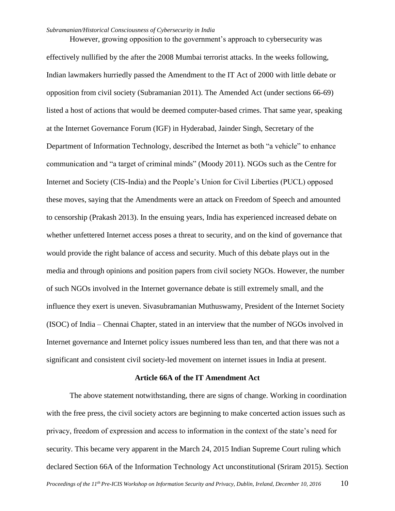However, growing opposition to the government's approach to cybersecurity was effectively nullified by the after the 2008 Mumbai terrorist attacks. In the weeks following, Indian lawmakers hurriedly passed the Amendment to the IT Act of 2000 with little debate or opposition from civil society (Subramanian 2011). The Amended Act (under sections 66-69) listed a host of actions that would be deemed computer-based crimes. That same year, speaking at the Internet Governance Forum (IGF) in Hyderabad, Jainder Singh, Secretary of the Department of Information Technology, described the Internet as both "a vehicle" to enhance communication and "a target of criminal minds" (Moody 2011). NGOs such as the Centre for Internet and Society (CIS-India) and the People's Union for Civil Liberties (PUCL) opposed these moves, saying that the Amendments were an attack on Freedom of Speech and amounted to censorship (Prakash 2013). In the ensuing years, India has experienced increased debate on whether unfettered Internet access poses a threat to security, and on the kind of governance that would provide the right balance of access and security. Much of this debate plays out in the media and through opinions and position papers from civil society NGOs. However, the number of such NGOs involved in the Internet governance debate is still extremely small, and the influence they exert is uneven. Sivasubramanian Muthuswamy, President of the Internet Society (ISOC) of India – Chennai Chapter, stated in an interview that the number of NGOs involved in Internet governance and Internet policy issues numbered less than ten, and that there was not a significant and consistent civil society-led movement on internet issues in India at present.

## **Article 66A of the IT Amendment Act**

The above statement notwithstanding, there are signs of change. Working in coordination with the free press, the civil society actors are beginning to make concerted action issues such as privacy, freedom of expression and access to information in the context of the state's need for security. This became very apparent in the March 24, 2015 Indian Supreme Court ruling which declared Section 66A of the Information Technology Act unconstitutional (Sriram 2015). Section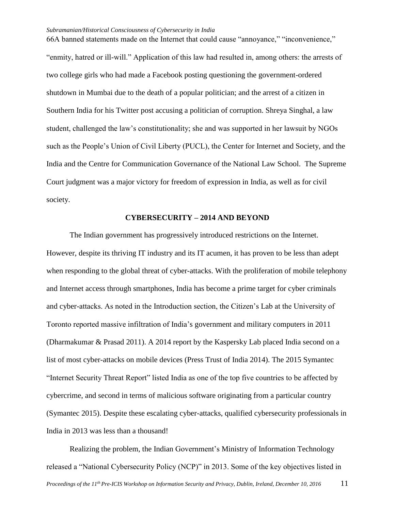66A banned statements made on the Internet that could cause "annoyance," "inconvenience," "enmity, hatred or ill-will." Application of this law had resulted in, among others: the arrests of two college girls who had made a Facebook posting questioning the government-ordered shutdown in Mumbai due to the death of a popular politician; and the arrest of a citizen in Southern India for his Twitter post accusing a politician of corruption. Shreya Singhal, a law student, challenged the law's constitutionality; she and was supported in her lawsuit by NGOs such as the People's Union of Civil Liberty (PUCL), the Center for Internet and Society, and the India and the Centre for Communication Governance of the National Law School. The Supreme Court judgment was a major victory for freedom of expression in India, as well as for civil society.

## **CYBERSECURITY – 2014 AND BEYOND**

The Indian government has progressively introduced restrictions on the Internet. However, despite its thriving IT industry and its IT acumen, it has proven to be less than adept when responding to the global threat of cyber-attacks. With the proliferation of mobile telephony and Internet access through smartphones, India has become a prime target for cyber criminals and cyber-attacks. As noted in the Introduction section, the Citizen's Lab at the University of Toronto reported massive infiltration of India's government and military computers in 2011 (Dharmakumar & Prasad 2011). A 2014 report by the Kaspersky Lab placed India second on a list of most cyber-attacks on mobile devices (Press Trust of India 2014). The 2015 Symantec "Internet Security Threat Report" listed India as one of the top five countries to be affected by cybercrime, and second in terms of malicious software originating from a particular country (Symantec 2015). Despite these escalating cyber-attacks, qualified cybersecurity professionals in India in 2013 was less than a thousand!

Realizing the problem, the Indian Government's Ministry of Information Technology released a "National Cybersecurity Policy (NCP)" in 2013. Some of the key objectives listed in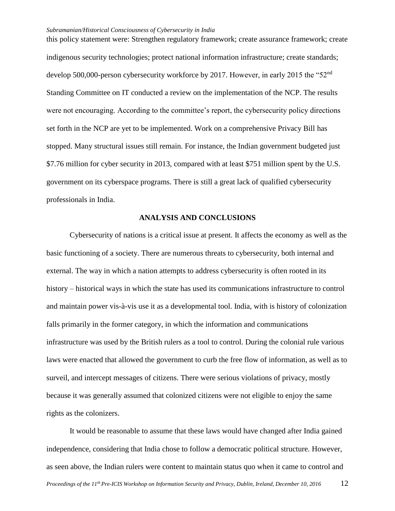this policy statement were: Strengthen regulatory framework; create assurance framework; create indigenous security technologies; protect national information infrastructure; create standards; develop 500,000-person cybersecurity workforce by 2017. However, in early 2015 the "52<sup>nd</sup> Standing Committee on IT conducted a review on the implementation of the NCP. The results were not encouraging. According to the committee's report, the cybersecurity policy directions set forth in the NCP are yet to be implemented. Work on a comprehensive Privacy Bill has stopped. Many structural issues still remain. For instance, the Indian government budgeted just \$7.76 million for cyber security in 2013, compared with at least \$751 million spent by the U.S. government on its cyberspace programs. There is still a great lack of qualified cybersecurity professionals in India.

## **ANALYSIS AND CONCLUSIONS**

Cybersecurity of nations is a critical issue at present. It affects the economy as well as the basic functioning of a society. There are numerous threats to cybersecurity, both internal and external. The way in which a nation attempts to address cybersecurity is often rooted in its history – historical ways in which the state has used its communications infrastructure to control and maintain power vis-à-vis use it as a developmental tool. India, with is history of colonization falls primarily in the former category, in which the information and communications infrastructure was used by the British rulers as a tool to control. During the colonial rule various laws were enacted that allowed the government to curb the free flow of information, as well as to surveil, and intercept messages of citizens. There were serious violations of privacy, mostly because it was generally assumed that colonized citizens were not eligible to enjoy the same rights as the colonizers.

It would be reasonable to assume that these laws would have changed after India gained independence, considering that India chose to follow a democratic political structure. However, as seen above, the Indian rulers were content to maintain status quo when it came to control and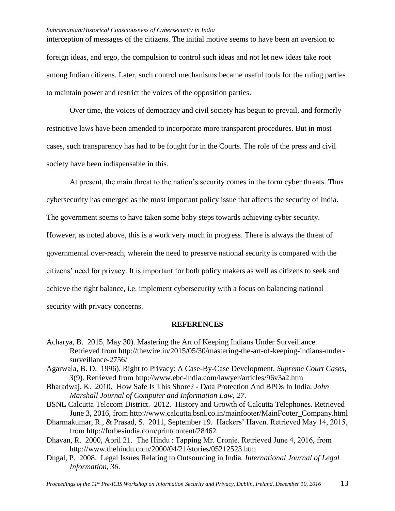interception of messages of the citizens. The initial motive seems to have been an aversion to foreign ideas, and ergo, the compulsion to control such ideas and not let new ideas take root among Indian citizens. Later, such control mechanisms became useful tools for the ruling parties to maintain power and restrict the voices of the opposition parties.

Over time, the voices of democracy and civil society has begun to prevail, and formerly restrictive laws have been amended to incorporate more transparent procedures. But in most cases, such transparency has had to be fought for in the Courts. The role of the press and civil society have been indispensable in this.

At present, the main threat to the nation's security comes in the form cyber threats. Thus cybersecurity has emerged as the most important policy issue that affects the security of India. The government seems to have taken some baby steps towards achieving cyber security. However, as noted above, this is a work very much in progress. There is always the threat of governmental over-reach, wherein the need to preserve national security is compared with the citizens' need for privacy. It is important for both policy makers as well as citizens to seek and achieve the right balance, i.e. implement cybersecurity with a focus on balancing national security with privacy concerns.

#### **REFERENCES**

- Acharya, B. 2015, May 30). Mastering the Art of Keeping Indians Under Surveillance. Retrieved from http://thewire.in/2015/05/30/mastering-the-art-of-keeping-indians-undersurveillance-2756/
- Agarwala, B. D. 1996). Right to Privacy: A Case-By-Case Development. *Supreme Court Cases*, *3*(9). Retrieved from http://www.ebc-india.com/lawyer/articles/96v3a2.htm
- Bharadwaj, K. 2010. How Safe Is This Shore? Data Protection And BPOs In India. *John Marshall Journal of Computer and Information Law*, *27*.
- BSNL Calcutta Telecom District. 2012. History and Growth of Calcutta Telephones. Retrieved June 3, 2016, from http://www.calcutta.bsnl.co.in/mainfooter/MainFooter\_Company.html
- Dharmakumar, R., & Prasad, S. 2011, September 19. Hackers' Haven. Retrieved May 14, 2015, from http://forbesindia.com/printcontent/28462
- Dhavan, R. 2000, April 21. The Hindu : Tapping Mr. Cronje. Retrieved June 4, 2016, from http://www.thehindu.com/2000/04/21/stories/05212523.htm
- Dugal, P. 2008. Legal Issues Relating to Outsourcing in India. *International Journal of Legal Information*, *36*.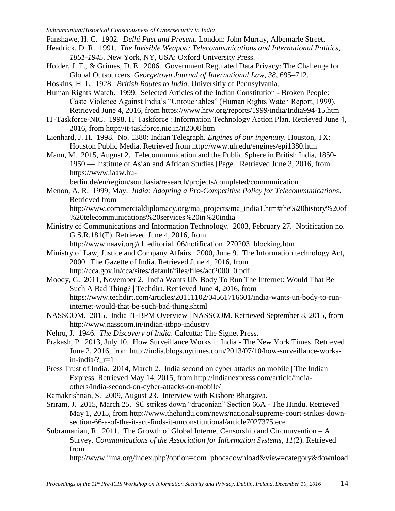Fanshawe, H. C. 1902. *Delhi Past and Present*. London: John Murray, Albemarle Street.

Headrick, D. R. 1991. *The Invisible Weapon: Telecommunications and International Politics, 1851-1945*. New York, NY, USA: Oxford University Press.

Holder, J. T., & Grimes, D. E. 2006. Government Regulated Data Privacy: The Challenge for Global Outsourcers. *Georgetown Journal of International Law*, *38*, 695–712.

Hoskins, H. L. 1928. *British Routes to India*. Universitiy of Pennsylvania.

Human Rights Watch. 1999. Selected Articles of the Indian Constitution - Broken People: Caste Violence Against India's "Untouchables" (Human Rights Watch Report, 1999). Retrieved June 4, 2016, from https://www.hrw.org/reports/1999/india/India994-15.htm

IT-Taskforce-NIC. 1998. IT Taskforce : Information Technology Action Plan. Retrieved June 4, 2016, from http://it-taskforce.nic.in/it2008.htm

Lienhard, J. H. 1998. No. 1380: Indian Telegraph. *Engines of our ingenuity*. Houston, TX: Houston Public Media. Retrieved from http://www.uh.edu/engines/epi1380.htm

Mann, M. 2015, August 2. Telecommunication and the Public Sphere in British India, 1850- 1950 — Institute of Asian and African Studies [Page]. Retrieved June 3, 2016, from https://www.iaaw.hu-

berlin.de/en/region/southasia/research/projects/completed/communication

Menon, A. R. 1999, May. *India: Adopting a Pro-Competitive Policy for Telecommunications*. Retrieved from

http://www.commercialdiplomacy.org/ma\_projects/ma\_india1.htm#the%20history%20of %20telecommunications%20services%20in%20india

Ministry of Communications and Information Technology. 2003, February 27. Notification no. G.S.R.181(E). Retrieved June 4, 2016, from

http://www.naavi.org/cl\_editorial\_06/notification\_270203\_blocking.htm

Ministry of Law, Justice and Company Affairs. 2000, June 9. The Information technology Act, 2000 | The Gazette of India. Retrieved June 4, 2016, from http://cca.gov.in/cca/sites/default/files/files/act2000\_0.pdf

Moody, G. 2011, November 2. India Wants UN Body To Run The Internet: Would That Be Such A Bad Thing? | Techdirt. Retrieved June 4, 2016, from https://www.techdirt.com/articles/20111102/04561716601/india-wants-un-body-to-runinternet-would-that-be-such-bad-thing.shtml

NASSCOM. 2015. India IT-BPM Overview | NASSCOM. Retrieved September 8, 2015, from http://www.nasscom.in/indian-itbpo-industry

Nehru, J. 1946. *The Discovery of India*. Calcutta: The Signet Press.

Prakash, P. 2013, July 10. How Surveillance Works in India - The New York Times. Retrieved June 2, 2016, from http://india.blogs.nytimes.com/2013/07/10/how-surveillance-worksin-india/?  $r=1$ 

Press Trust of India. 2014, March 2. India second on cyber attacks on mobile | The Indian Express. Retrieved May 14, 2015, from http://indianexpress.com/article/indiaothers/india-second-on-cyber-attacks-on-mobile/

Ramakrishnan, S. 2009, August 23. Interview with Kishore Bhargava.

Sriram, J. 2015, March 25. SC strikes down "draconian" Section 66A - The Hindu. Retrieved May 1, 2015, from http://www.thehindu.com/news/national/supreme-court-strikes-downsection-66-a-of-the-it-act-finds-it-unconstitutional/article7027375.ece

Subramanian, R. 2011. The Growth of Global Internet Censorship and Circumvention – A Survey. *Communications of the Association for Information Systems*, *11*(2). Retrieved from

http://www.iima.org/index.php?option=com\_phocadownload&view=category&download